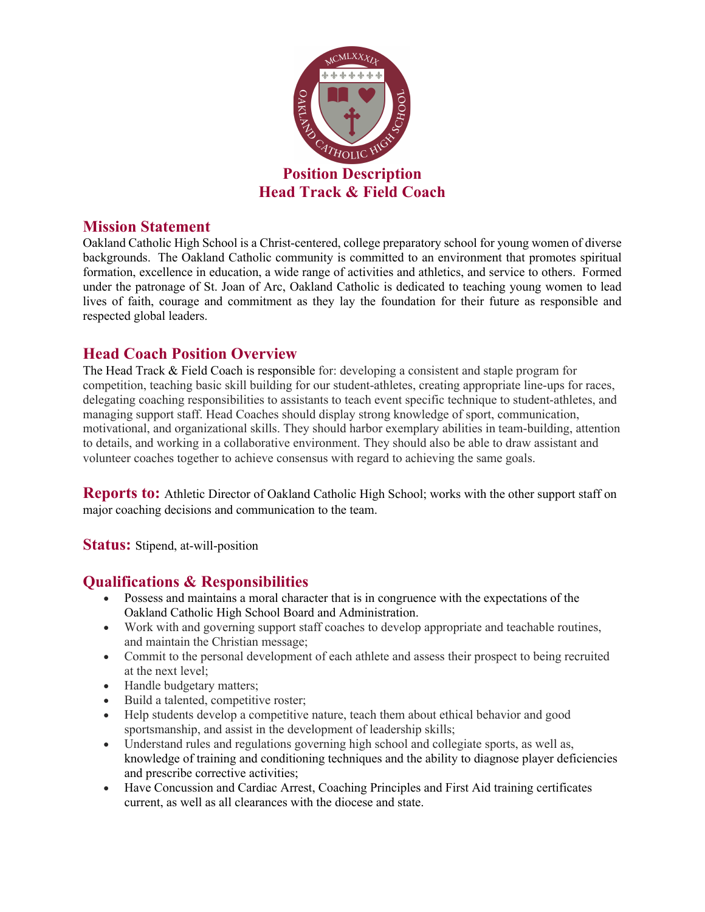

#### **Mission Statement**

Oakland Catholic High School is a Christ-centered, college preparatory school for young women of diverse backgrounds. The Oakland Catholic community is committed to an environment that promotes spiritual formation, excellence in education, a wide range of activities and athletics, and service to others. Formed under the patronage of St. Joan of Arc, Oakland Catholic is dedicated to teaching young women to lead lives of faith, courage and commitment as they lay the foundation for their future as responsible and respected global leaders.

## **Head Coach Position Overview**

The Head Track & Field Coach is responsible for: developing a consistent and staple program for competition, teaching basic skill building for our student-athletes, creating appropriate line-ups for races, delegating coaching responsibilities to assistants to teach event specific technique to student-athletes, and managing support staff. Head Coaches should display strong knowledge of sport, communication, motivational, and organizational skills. They should harbor exemplary abilities in team-building, attention to details, and working in a collaborative environment. They should also be able to draw assistant and volunteer coaches together to achieve consensus with regard to achieving the same goals.

**Reports to:** Athletic Director of Oakland Catholic High School; works with the other support staff on major coaching decisions and communication to the team.

**Status:** Stipend, at-will-position

## **Qualifications & Responsibilities**

- Possess and maintains a moral character that is in congruence with the expectations of the Oakland Catholic High School Board and Administration.
- Work with and governing support staff coaches to develop appropriate and teachable routines, and maintain the Christian message;
- Commit to the personal development of each athlete and assess their prospect to being recruited at the next level;
- Handle budgetary matters;
- Build a talented, competitive roster;
- Help students develop a competitive nature, teach them about ethical behavior and good sportsmanship, and assist in the development of leadership skills;
- Understand rules and regulations governing high school and collegiate sports, as well as, knowledge of training and conditioning techniques and the ability to diagnose player deficiencies and prescribe corrective activities;
- Have Concussion and Cardiac Arrest, Coaching Principles and First Aid training certificates current, as well as all clearances with the diocese and state.